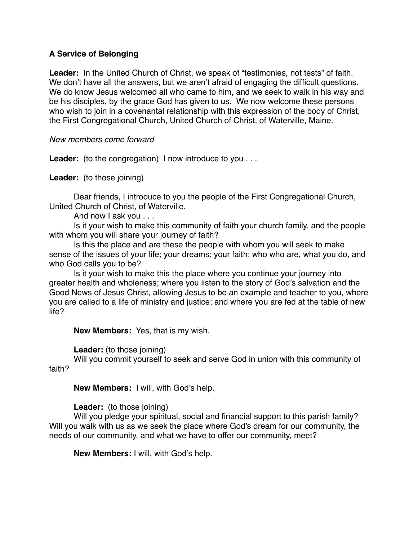## **A Service of Belonging**

Leader: In the United Church of Christ, we speak of "testimonies, not tests" of faith. We don't have all the answers, but we aren't afraid of engaging the difficult questions. We do know Jesus welcomed all who came to him, and we seek to walk in his way and be his disciples, by the grace God has given to us. We now welcome these persons who wish to join in a covenantal relationship with this expression of the body of Christ, the First Congregational Church, United Church of Christ, of Waterville, Maine.

*New members come forward*

Leader: (to the congregation) I now introduce to you . . .

**Leader:** (to those joining)

Dear friends, I introduce to you the people of the First Congregational Church, United Church of Christ, of Waterville.

And now I ask you . . .

Is it your wish to make this community of faith your church family, and the people with whom you will share your journey of faith?

Is this the place and are these the people with whom you will seek to make sense of the issues of your life; your dreams; your faith; who who are, what you do, and who God calls you to be?

Is it your wish to make this the place where you continue your journey into greater health and wholeness; where you listen to the story of God's salvation and the Good News of Jesus Christ, allowing Jesus to be an example and teacher to you, where you are called to a life of ministry and justice; and where you are fed at the table of new life?

**New Members:** Yes, that is my wish.

**Leader:** (to those joining)

Will you commit yourself to seek and serve God in union with this community of faith?

**New Members:** I will, with God's help.

## **Leader:** (to those joining)

Will you pledge your spiritual, social and financial support to this parish family? Will you walk with us as we seek the place where God's dream for our community, the needs of our community, and what we have to offer our community, meet?

**New Members:** I will, with God's help.